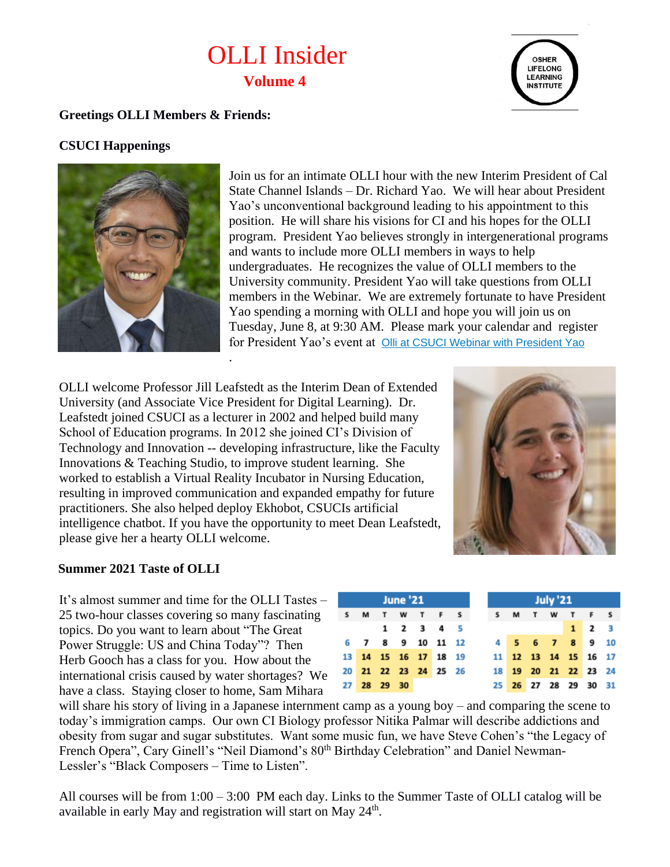# OLLI Insider **Volume 4**



### **Greetings OLLI Members & Friends:**

## **CSUCI Happenings**



Join us for an intimate OLLI hour with the new Interim President of Cal State Channel Islands – Dr. Richard Yao. We will hear about President Yao's unconventional background leading to his appointment to this position. He will share his visions for CI and his hopes for the OLLI program. President Yao believes strongly in intergenerational programs and wants to include more OLLI members in ways to help undergraduates. He recognizes the value of OLLI members to the University community. President Yao will take questions from OLLI members in the Webinar. We are extremely fortunate to have President Yao spending a morning with OLLI and hope you will join us on Tuesday, June 8, at 9:30 AM. Please mark your calendar and register for President Yao's event at [Olli at CSUCI Webinar with President Yao](https://csuci.qualtrics.com/jfe/form/SV_e5R8XMj9XGJHpFY)

OLLI welcome Professor Jill Leafstedt as the Interim Dean of Extended University (and Associate Vice President for Digital Learning). Dr. Leafstedt joined CSUCI as a lecturer in 2002 and helped build many School of Education programs. In 2012 she joined CI's Division of Technology and Innovation -- developing infrastructure, like the Faculty Innovations & Teaching Studio, to improve student learning. She worked to establish a Virtual Reality Incubator in Nursing Education, resulting in improved communication and expanded empathy for future practitioners. She also helped deploy Ekhobot, CSUCIs artificial intelligence chatbot. If you have the opportunity to meet Dean Leafstedt, please give her a hearty OLLI welcome.

.



#### **Summer 2021 Taste of OLLI**

It's almost summer and time for the OLLI Tastes – 25 two-hour classes covering so many fascinating topics. Do you want to learn about "The Great Power Struggle: US and China Today"? Then Herb Gooch has a class for you. How about the international crisis caused by water shortages? We have a class. Staying closer to home, Sam Mihara

|  |             | <b>June '21</b> |                      |  |
|--|-------------|-----------------|----------------------|--|
|  |             |                 | S M T W T F S        |  |
|  |             |                 | 1 2 3 4 5            |  |
|  |             |                 | 6 7 8 9 10 11 12     |  |
|  |             |                 | 13 14 15 16 17 18 19 |  |
|  |             |                 | 20 21 22 23 24 25 26 |  |
|  | 27 28 29 30 |                 |                      |  |

will share his story of living in a Japanese internment camp as a young boy – and comparing the scene to today's immigration camps. Our own CI Biology professor Nitika Palmar will describe addictions and obesity from sugar and sugar substitutes. Want some music fun, we have Steve Cohen's "the Legacy of French Opera", Cary Ginell's "Neil Diamond's 80<sup>th</sup> Birthday Celebration" and Daniel Newman-Lessler's "Black Composers – Time to Listen".

All courses will be from 1:00 – 3:00 PM each day. Links to the Summer Taste of OLLI catalog will be available in early May and registration will start on May 24<sup>th</sup>.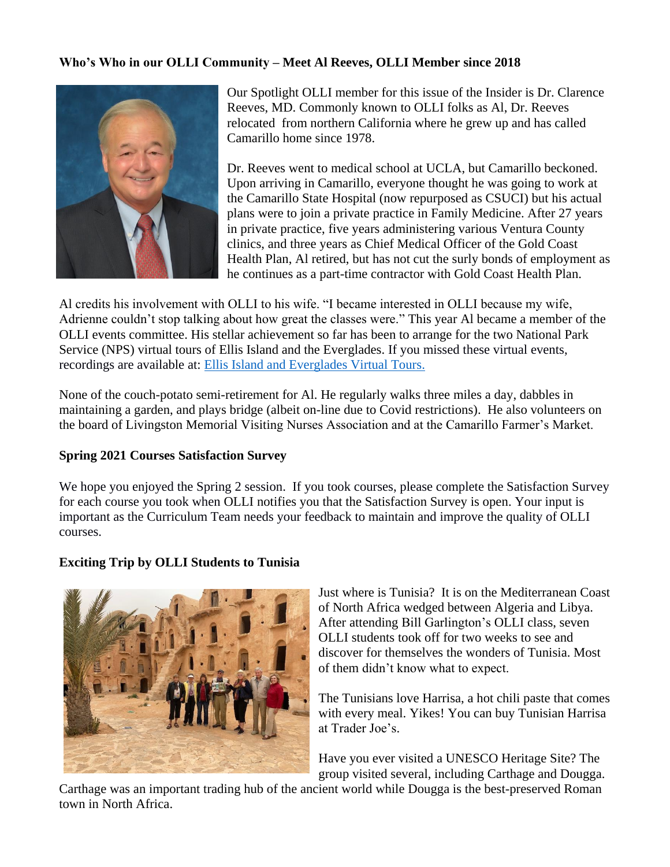#### **Who's Who in our OLLI Community – Meet Al Reeves, OLLI Member since 2018**



Our Spotlight OLLI member for this issue of the Insider is Dr. Clarence Reeves, MD. Commonly known to OLLI folks as Al, Dr. Reeves relocated from northern California where he grew up and has called Camarillo home since 1978.

Dr. Reeves went to medical school at UCLA, but Camarillo beckoned. Upon arriving in Camarillo, everyone thought he was going to work at the Camarillo State Hospital (now repurposed as CSUCI) but his actual plans were to join a private practice in Family Medicine. After 27 years in private practice, five years administering various Ventura County clinics, and three years as Chief Medical Officer of the Gold Coast Health Plan, Al retired, but has not cut the surly bonds of employment as he continues as a part-time contractor with Gold Coast Health Plan.

Al credits his involvement with OLLI to his wife. "I became interested in OLLI because my wife, Adrienne couldn't stop talking about how great the classes were." This year Al became a member of the OLLI events committee. His stellar achievement so far has been to arrange for the two National Park Service (NPS) virtual tours of Ellis Island and the Everglades. If you missed these virtual events, recordings are available at: [Ellis Island and Everglades Virtual Tours.](https://ext.csuci.edu/programs/professional-community-ed/osher-lifelong-learning-institute/)

None of the couch-potato semi-retirement for Al. He regularly walks three miles a day, dabbles in maintaining a garden, and plays bridge (albeit on-line due to Covid restrictions). He also volunteers on the board of Livingston Memorial Visiting Nurses Association and at the Camarillo Farmer's Market.

#### **Spring 2021 Courses Satisfaction Survey**

We hope you enjoyed the Spring 2 session. If you took courses, please complete the Satisfaction Survey for each course you took when OLLI notifies you that the Satisfaction Survey is open. Your input is important as the Curriculum Team needs your feedback to maintain and improve the quality of OLLI courses.

## **Exciting Trip by OLLI Students to Tunisia**



Just where is Tunisia? It is on the Mediterranean Coast of North Africa wedged between Algeria and Libya. After attending Bill Garlington's OLLI class, seven OLLI students took off for two weeks to see and discover for themselves the wonders of Tunisia. Most of them didn't know what to expect.

The Tunisians love Harrisa, a hot chili paste that comes with every meal. Yikes! You can buy Tunisian Harrisa at Trader Joe's.

Have you ever visited a UNESCO Heritage Site? The group visited several, including Carthage and Dougga.

Carthage was an important trading hub of the ancient world while Dougga is the best-preserved Roman town in North Africa.